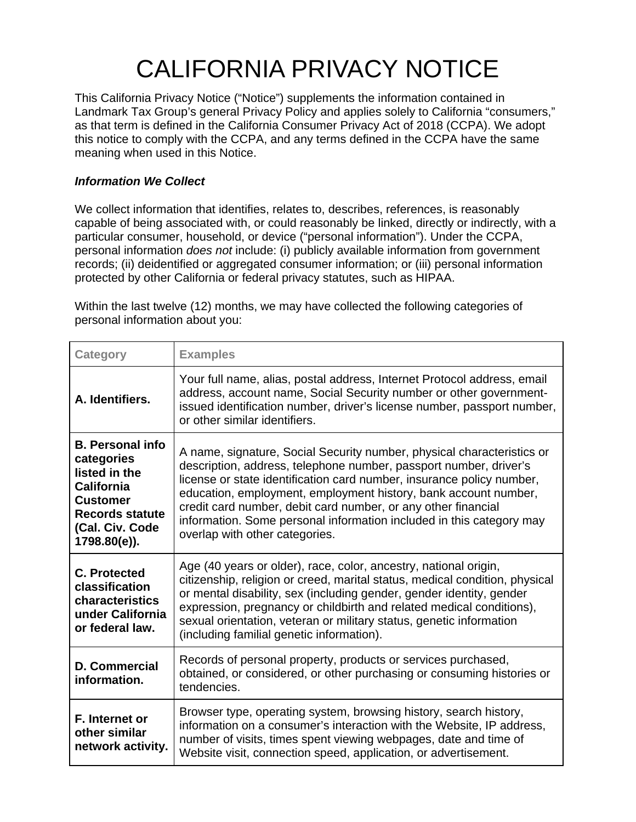# CALIFORNIA PRIVACY NOTICE

This California Privacy Notice ("Notice") supplements the information contained in Landmark Tax Group's general [Privacy Policy](https://www.markspaneth.com/info/privacy-policy) and applies solely to California "consumers," as that term is defined in the California Consumer Privacy Act of 2018 (CCPA). We adopt this notice to comply with the CCPA, and any terms defined in the CCPA have the same meaning when used in this Notice.

# *Information We Collect*

We collect information that identifies, relates to, describes, references, is reasonably capable of being associated with, or could reasonably be linked, directly or indirectly, with a particular consumer, household, or device ("personal information"). Under the CCPA, personal information *does not* include: (i) publicly available information from government records; (ii) deidentified or aggregated consumer information; or (iii) personal information protected by other California or federal privacy statutes, such as HIPAA.

Within the last twelve (12) months, we may have collected the following categories of personal information about you:

| <b>Category</b>                                                                                                                                             | <b>Examples</b>                                                                                                                                                                                                                                                                                                                                                                                                                                                    |
|-------------------------------------------------------------------------------------------------------------------------------------------------------------|--------------------------------------------------------------------------------------------------------------------------------------------------------------------------------------------------------------------------------------------------------------------------------------------------------------------------------------------------------------------------------------------------------------------------------------------------------------------|
| A. Identifiers.                                                                                                                                             | Your full name, alias, postal address, Internet Protocol address, email<br>address, account name, Social Security number or other government-<br>issued identification number, driver's license number, passport number,<br>or other similar identifiers.                                                                                                                                                                                                          |
| <b>B.</b> Personal info<br>categories<br>listed in the<br><b>California</b><br><b>Customer</b><br><b>Records statute</b><br>(Cal. Civ. Code<br>1798.80(e)). | A name, signature, Social Security number, physical characteristics or<br>description, address, telephone number, passport number, driver's<br>license or state identification card number, insurance policy number,<br>education, employment, employment history, bank account number,<br>credit card number, debit card number, or any other financial<br>information. Some personal information included in this category may<br>overlap with other categories. |
| <b>C. Protected</b><br>classification<br>characteristics<br>under California<br>or federal law.                                                             | Age (40 years or older), race, color, ancestry, national origin,<br>citizenship, religion or creed, marital status, medical condition, physical<br>or mental disability, sex (including gender, gender identity, gender<br>expression, pregnancy or childbirth and related medical conditions),<br>sexual orientation, veteran or military status, genetic information<br>(including familial genetic information).                                                |
| <b>D. Commercial</b><br>information.                                                                                                                        | Records of personal property, products or services purchased,<br>obtained, or considered, or other purchasing or consuming histories or<br>tendencies.                                                                                                                                                                                                                                                                                                             |
| F. Internet or<br>other similar<br>network activity.                                                                                                        | Browser type, operating system, browsing history, search history,<br>information on a consumer's interaction with the Website, IP address,<br>number of visits, times spent viewing webpages, date and time of<br>Website visit, connection speed, application, or advertisement.                                                                                                                                                                                  |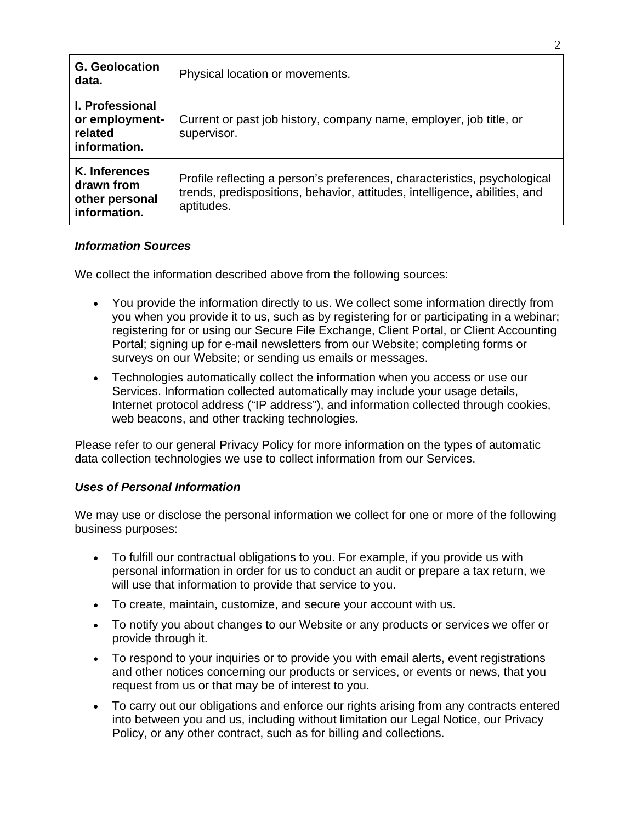| <b>G.</b> Geolocation<br>data.                                      | Physical location or movements.                                                                                                                                       |
|---------------------------------------------------------------------|-----------------------------------------------------------------------------------------------------------------------------------------------------------------------|
| <b>I. Professional</b><br>or employment-<br>related<br>information. | Current or past job history, company name, employer, job title, or<br>supervisor.                                                                                     |
| K. Inferences<br>drawn from<br>other personal<br>information.       | Profile reflecting a person's preferences, characteristics, psychological<br>trends, predispositions, behavior, attitudes, intelligence, abilities, and<br>aptitudes. |

#### *Information Sources*

We collect the information described above from the following sources:

- You provide the information directly to us. We collect some information directly from you when you provide it to us, such as by registering for or participating in a webinar; registering for or using our Secure File Exchange, Client Portal, or Client Accounting Portal; signing up for e-mail newsletters from our Website; completing forms or surveys on our Website; or sending us emails or messages.
- Technologies automatically collect the information when you access or use our Services. Information collected automatically may include your usage details, Internet protocol address ("IP address"), and information collected through cookies, web beacons, and other tracking technologies.

Please refer to our general [Privacy Policy](https://www.markspaneth.com/info/privacy-policy) for more information on the types of automatic data collection technologies we use to collect information from our Services.

# *Uses of Personal Information*

We may use or disclose the personal information we collect for one or more of the following business purposes:

- To fulfill our contractual obligations to you. For example, if you provide us with personal information in order for us to conduct an audit or prepare a tax return, we will use that information to provide that service to you.
- To create, maintain, customize, and secure your account with us.
- To notify you about changes to our Website or any products or services we offer or provide through it.
- To respond to your inquiries or to provide you with email alerts, event registrations and other notices concerning our products or services, or events or news, that you request from us or that may be of interest to you.
- To carry out our obligations and enforce our rights arising from any contracts entered into between you and us, including without limitation our Legal Notice, our Privacy Policy, or any other contract, such as for billing and collections.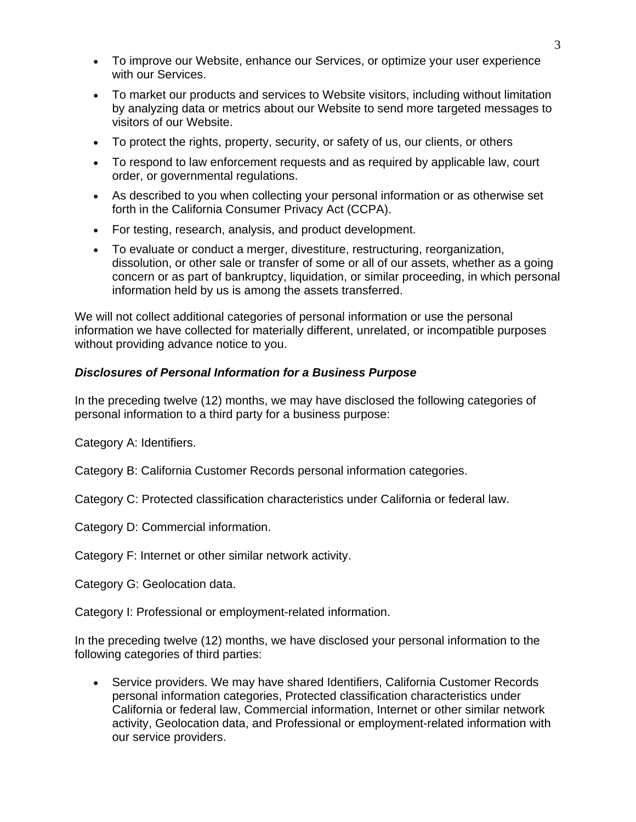- To improve our Website, enhance our Services, or optimize your user experience with our Services.
- To market our products and services to Website visitors, including without limitation by analyzing data or metrics about our Website to send more targeted messages to visitors of our Website.
- To protect the rights, property, security, or safety of us, our clients, or others
- To respond to law enforcement requests and as required by applicable law, court order, or governmental regulations.
- As described to you when collecting your personal information or as otherwise set forth in the California Consumer Privacy Act (CCPA).
- For testing, research, analysis, and product development.
- To evaluate or conduct a merger, divestiture, restructuring, reorganization, dissolution, or other sale or transfer of some or all of our assets, whether as a going concern or as part of bankruptcy, liquidation, or similar proceeding, in which personal information held by us is among the assets transferred.

We will not collect additional categories of personal information or use the personal information we have collected for materially different, unrelated, or incompatible purposes without providing advance notice to you.

#### *Disclosures of Personal Information for a Business Purpose*

In the preceding twelve (12) months, we may have disclosed the following categories of personal information to a third party for a business purpose:

Category A: Identifiers.

Category B: California Customer Records personal information categories.

Category C: Protected classification characteristics under California or federal law.

Category D: Commercial information.

Category F: Internet or other similar network activity.

Category G: Geolocation data.

Category I: Professional or employment-related information.

In the preceding twelve (12) months, we have disclosed your personal information to the following categories of third parties:

• Service providers. We may have shared Identifiers, California Customer Records personal information categories, Protected classification characteristics under California or federal law, Commercial information, Internet or other similar network activity, Geolocation data, and Professional or employment-related information with our service providers.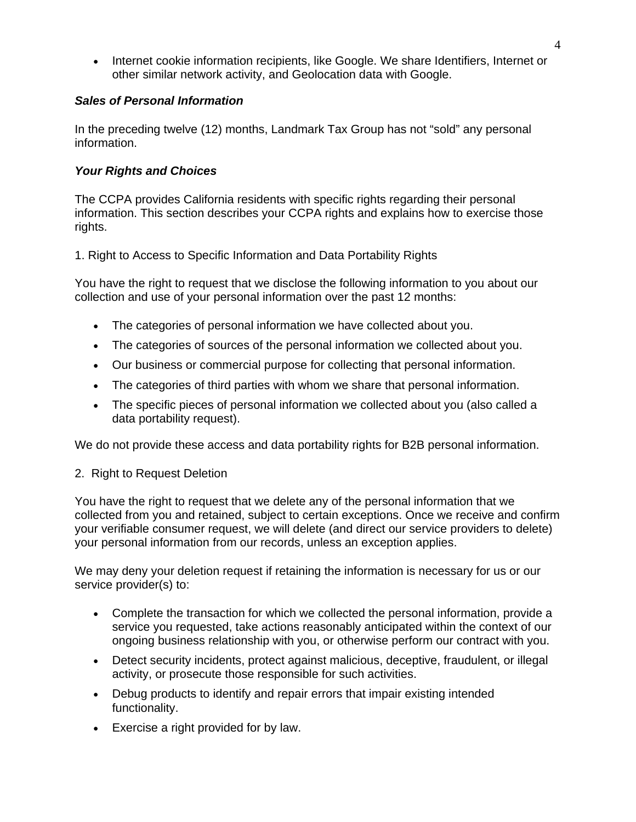• Internet cookie information recipients, like Google. We share Identifiers, Internet or other similar network activity, and Geolocation data with Google.

#### *Sales of Personal Information*

In the preceding twelve (12) months, Landmark Tax Group has not "sold" any personal information.

### *Your Rights and Choices*

The CCPA provides California residents with specific rights regarding their personal information. This section describes your CCPA rights and explains how to exercise those rights.

1. Right to Access to Specific Information and Data Portability Rights

You have the right to request that we disclose the following information to you about our collection and use of your personal information over the past 12 months:

- The categories of personal information we have collected about you.
- The categories of sources of the personal information we collected about you.
- Our business or commercial purpose for collecting that personal information.
- The categories of third parties with whom we share that personal information.
- The specific pieces of personal information we collected about you (also called a data portability request).

We do not provide these access and data portability rights for B2B personal information.

2. Right to Request Deletion

You have the right to request that we delete any of the personal information that we collected from you and retained, subject to certain exceptions. Once we receive and confirm your verifiable consumer request, we will delete (and direct our service providers to delete) your personal information from our records, unless an exception applies.

We may deny your deletion request if retaining the information is necessary for us or our service provider(s) to:

- Complete the transaction for which we collected the personal information, provide a service you requested, take actions reasonably anticipated within the context of our ongoing business relationship with you, or otherwise perform our contract with you.
- Detect security incidents, protect against malicious, deceptive, fraudulent, or illegal activity, or prosecute those responsible for such activities.
- Debug products to identify and repair errors that impair existing intended functionality.
- Exercise a right provided for by law.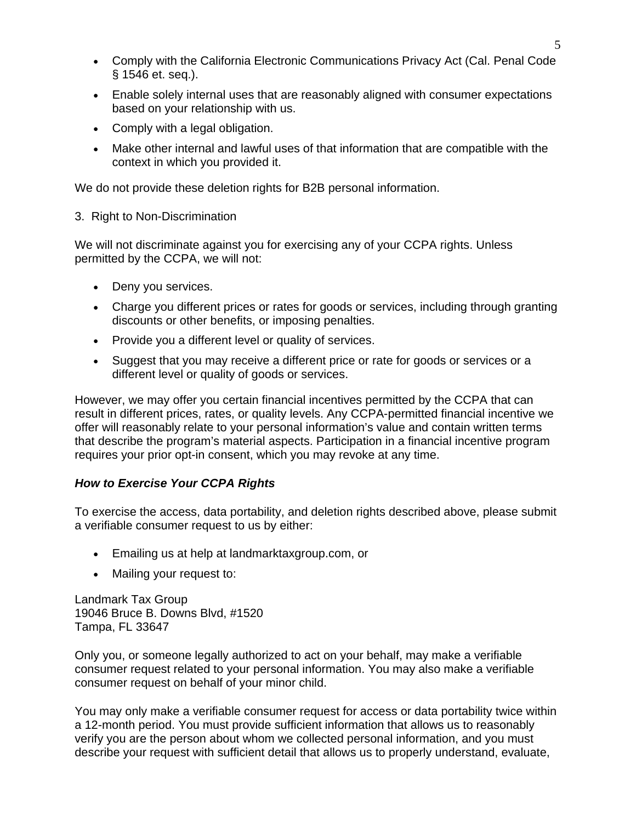- Comply with the California Electronic Communications Privacy Act (Cal. Penal Code § 1546 et. seq.).
- Enable solely internal uses that are reasonably aligned with consumer expectations based on your relationship with us.
- Comply with a legal obligation.
- Make other internal and lawful uses of that information that are compatible with the context in which you provided it.

We do not provide these deletion rights for B2B personal information.

#### 3. Right to Non-Discrimination

We will not discriminate against you for exercising any of your CCPA rights. Unless permitted by the CCPA, we will not:

- Deny you services.
- Charge you different prices or rates for goods or services, including through granting discounts or other benefits, or imposing penalties.
- Provide you a different level or quality of services.
- Suggest that you may receive a different price or rate for goods or services or a different level or quality of goods or services.

However, we may offer you certain financial incentives permitted by the CCPA that can result in different prices, rates, or quality levels. Any CCPA-permitted financial incentive we offer will reasonably relate to your personal information's value and contain written terms that describe the program's material aspects. Participation in a financial incentive program requires your prior opt-in consent, which you may revoke at any time.

# *How to Exercise Your CCPA Rights*

To exercise the access, data portability, and deletion rights described above, please submit a verifiable consumer request to us by either:

- Emailing us at help at landmarktaxgroup.com, or
- Mailing your request to:

Landmark Tax Group 19046 Bruce B. Downs Blvd, #1520 Tampa, FL 33647

Only you, or someone legally authorized to act on your behalf, may make a verifiable consumer request related to your personal information. You may also make a verifiable consumer request on behalf of your minor child.

You may only make a verifiable consumer request for access or data portability twice within a 12-month period. You must provide sufficient information that allows us to reasonably verify you are the person about whom we collected personal information, and you must describe your request with sufficient detail that allows us to properly understand, evaluate,